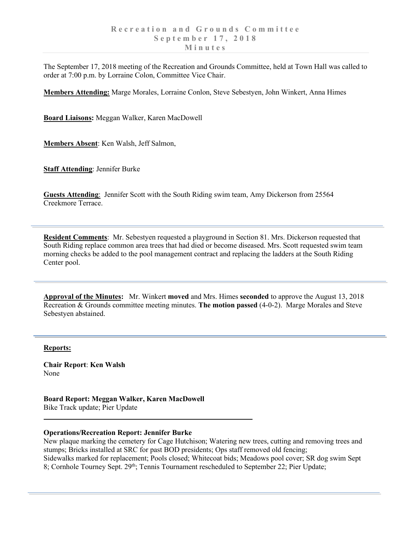The September 17, 2018 meeting of the Recreation and Grounds Committee, held at Town Hall was called to order at 7:00 p.m. by Lorraine Colon, Committee Vice Chair.

**Members Attending:** Marge Morales, Lorraine Conlon, Steve Sebestyen, John Winkert, Anna Himes

**Board Liaisons:** Meggan Walker, Karen MacDowell

**Members Absent**: Ken Walsh, Jeff Salmon,

**Staff Attending**: Jennifer Burke

**Guests Attending**: Jennifer Scott with the South Riding swim team, Amy Dickerson from 25564 Creekmore Terrace.

**Resident Comments**: Mr. Sebestyen requested a playground in Section 81. Mrs. Dickerson requested that South Riding replace common area trees that had died or become diseased. Mrs. Scott requested swim team morning checks be added to the pool management contract and replacing the ladders at the South Riding Center pool.

**Approval of the Minutes:** Mr. Winkert **moved** and Mrs. Himes **seconded** to approve the August 13, 2018 Recreation & Grounds committee meeting minutes. **The motion passed** (4-0-2). Marge Morales and Steve Sebestyen abstained.

## **Reports:**

**Chair Report**: **Ken Walsh** None

**Board Report: Meggan Walker, Karen MacDowell** Bike Track update; Pier Update

## **Operations/Recreation Report: Jennifer Burke**

New plaque marking the cemetery for Cage Hutchison; Watering new trees, cutting and removing trees and stumps; Bricks installed at SRC for past BOD presidents; Ops staff removed old fencing; Sidewalks marked for replacement; Pools closed; Whitecoat bids; Meadows pool cover; SR dog swim Sept 8; Cornhole Tourney Sept. 29<sup>th</sup>; Tennis Tournament rescheduled to September 22; Pier Update;